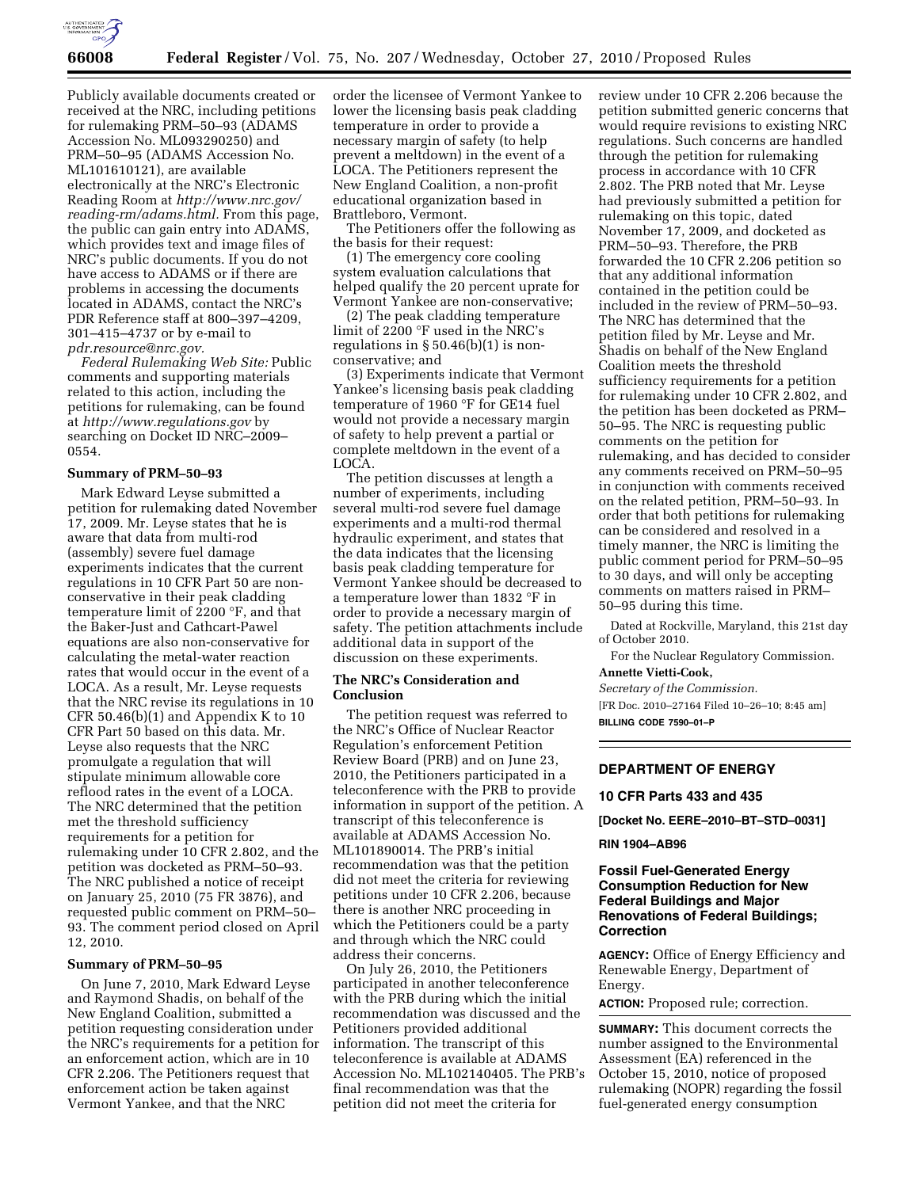

Publicly available documents created or received at the NRC, including petitions for rulemaking PRM–50–93 (ADAMS Accession No. ML093290250) and PRM–50–95 (ADAMS Accession No. ML101610121), are available electronically at the NRC's Electronic Reading Room at *[http://www.nrc.gov/](http://www.nrc.gov/reading-rm/adams.html)  [reading-rm/adams.html.](http://www.nrc.gov/reading-rm/adams.html)* From this page, the public can gain entry into ADAMS, which provides text and image files of NRC's public documents. If you do not have access to ADAMS or if there are problems in accessing the documents located in ADAMS, contact the NRC's PDR Reference staff at 800–397–4209, 301–415–4737 or by e-mail to *[pdr.resource@nrc.gov.](mailto:pdr.resource@nrc.gov)* 

*Federal Rulemaking Web Site:* Public comments and supporting materials related to this action, including the petitions for rulemaking, can be found at *<http://www.regulations.gov>* by searching on Docket ID NRC–2009– 0554.

### **Summary of PRM–50–93**

Mark Edward Leyse submitted a petition for rulemaking dated November 17, 2009. Mr. Leyse states that he is aware that data from multi-rod (assembly) severe fuel damage experiments indicates that the current regulations in 10 CFR Part 50 are nonconservative in their peak cladding temperature limit of 2200 °F, and that the Baker-Just and Cathcart-Pawel equations are also non-conservative for calculating the metal-water reaction rates that would occur in the event of a LOCA. As a result, Mr. Leyse requests that the NRC revise its regulations in 10 CFR  $50.46(b)(1)$  and Appendix K to 10 CFR Part 50 based on this data. Mr. Leyse also requests that the NRC promulgate a regulation that will stipulate minimum allowable core reflood rates in the event of a LOCA. The NRC determined that the petition met the threshold sufficiency requirements for a petition for rulemaking under 10 CFR 2.802, and the petition was docketed as PRM–50–93. The NRC published a notice of receipt on January 25, 2010 (75 FR 3876), and requested public comment on PRM–50– 93. The comment period closed on April 12, 2010.

### **Summary of PRM–50–95**

On June 7, 2010, Mark Edward Leyse and Raymond Shadis, on behalf of the New England Coalition, submitted a petition requesting consideration under the NRC's requirements for a petition for an enforcement action, which are in 10 CFR 2.206. The Petitioners request that enforcement action be taken against Vermont Yankee, and that the NRC

order the licensee of Vermont Yankee to lower the licensing basis peak cladding temperature in order to provide a necessary margin of safety (to help prevent a meltdown) in the event of a LOCA. The Petitioners represent the New England Coalition, a non-profit educational organization based in Brattleboro, Vermont.

The Petitioners offer the following as the basis for their request:

(1) The emergency core cooling system evaluation calculations that helped qualify the 20 percent uprate for Vermont Yankee are non-conservative;

(2) The peak cladding temperature limit of 2200 °F used in the NRC's regulations in  $\S 50.46(b)(1)$  is nonconservative; and

(3) Experiments indicate that Vermont Yankee's licensing basis peak cladding temperature of 1960 °F for GE14 fuel would not provide a necessary margin of safety to help prevent a partial or complete meltdown in the event of a LOCA.

The petition discusses at length a number of experiments, including several multi-rod severe fuel damage experiments and a multi-rod thermal hydraulic experiment, and states that the data indicates that the licensing basis peak cladding temperature for Vermont Yankee should be decreased to a temperature lower than 1832 °F in order to provide a necessary margin of safety. The petition attachments include additional data in support of the discussion on these experiments.

## **The NRC's Consideration and Conclusion**

The petition request was referred to the NRC's Office of Nuclear Reactor Regulation's enforcement Petition Review Board (PRB) and on June 23, 2010, the Petitioners participated in a teleconference with the PRB to provide information in support of the petition. A transcript of this teleconference is available at ADAMS Accession No. ML101890014. The PRB's initial recommendation was that the petition did not meet the criteria for reviewing petitions under 10 CFR 2.206, because there is another NRC proceeding in which the Petitioners could be a party and through which the NRC could address their concerns.

On July 26, 2010, the Petitioners participated in another teleconference with the PRB during which the initial recommendation was discussed and the Petitioners provided additional information. The transcript of this teleconference is available at ADAMS Accession No. ML102140405. The PRB's final recommendation was that the petition did not meet the criteria for

review under 10 CFR 2.206 because the petition submitted generic concerns that would require revisions to existing NRC regulations. Such concerns are handled through the petition for rulemaking process in accordance with 10 CFR 2.802. The PRB noted that Mr. Leyse had previously submitted a petition for rulemaking on this topic, dated November 17, 2009, and docketed as PRM–50–93. Therefore, the PRB forwarded the 10 CFR 2.206 petition so that any additional information contained in the petition could be included in the review of PRM–50–93. The NRC has determined that the petition filed by Mr. Leyse and Mr. Shadis on behalf of the New England Coalition meets the threshold sufficiency requirements for a petition for rulemaking under 10 CFR 2.802, and the petition has been docketed as PRM– 50–95. The NRC is requesting public comments on the petition for rulemaking, and has decided to consider any comments received on PRM–50–95 in conjunction with comments received on the related petition, PRM–50–93. In order that both petitions for rulemaking can be considered and resolved in a timely manner, the NRC is limiting the public comment period for PRM–50–95 to 30 days, and will only be accepting comments on matters raised in PRM– 50–95 during this time.

Dated at Rockville, Maryland, this 21st day of October 2010.

For the Nuclear Regulatory Commission. **Annette Vietti-Cook,** 

*Secretary of the Commission.* 

[FR Doc. 2010–27164 Filed 10–26–10; 8:45 am] **BILLING CODE 7590–01–P** 

# **DEPARTMENT OF ENERGY**

### **10 CFR Parts 433 and 435**

**[Docket No. EERE–2010–BT–STD–0031]** 

### **RIN 1904–AB96**

# **Fossil Fuel-Generated Energy Consumption Reduction for New Federal Buildings and Major Renovations of Federal Buildings; Correction**

**AGENCY:** Office of Energy Efficiency and Renewable Energy, Department of Energy.

**ACTION:** Proposed rule; correction.

**SUMMARY:** This document corrects the number assigned to the Environmental Assessment (EA) referenced in the October 15, 2010, notice of proposed rulemaking (NOPR) regarding the fossil fuel-generated energy consumption